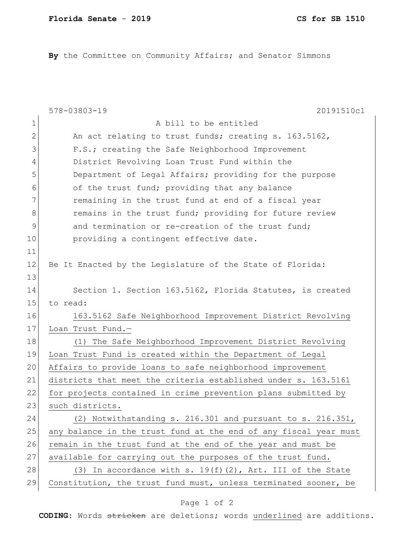**By** the Committee on Community Affairs; and Senator Simmons

|               | 578-03803-19<br>20191510c1                                       |
|---------------|------------------------------------------------------------------|
| $\mathbf 1$   | A bill to be entitled                                            |
| 2             | An act relating to trust funds; creating s. 163.5162,            |
| 3             | F.S.; creating the Safe Neighborhood Improvement                 |
| 4             | District Revolving Loan Trust Fund within the                    |
| 5             | Department of Legal Affairs; providing for the purpose           |
| 6             | of the trust fund; providing that any balance                    |
| 7             | remaining in the trust fund at end of a fiscal year              |
| 8             | remains in the trust fund; providing for future review           |
| $\mathcal{G}$ | and termination or re-creation of the trust fund;                |
| 10            | providing a contingent effective date.                           |
| 11            |                                                                  |
| 12            | Be It Enacted by the Legislature of the State of Florida:        |
| 13            |                                                                  |
| 14            | Section 1. Section 163.5162, Florida Statutes, is created        |
| 15            | to read:                                                         |
| 16            | 163.5162 Safe Neighborhood Improvement District Revolving        |
| 17            | Loan Trust Fund.-                                                |
| 18            | The Safe Neighborhood Improvement District Revolving<br>(1)      |
| 19            | Loan Trust Fund is created within the Department of Legal        |
| 20            | Affairs to provide loans to safe neighborhood improvement        |
| 21            | districts that meet the criteria established under s. 163.5161   |
| 22            | for projects contained in crime prevention plans submitted by    |
| 23            | such districts.                                                  |
| 24            | (2) Notwithstanding s. 216.301 and pursuant to s. 216.351,       |
| 25            | any balance in the trust fund at the end of any fiscal year must |
| 26            | remain in the trust fund at the end of the year and must be      |
| 27            | available for carrying out the purposes of the trust fund.       |
| 28            | (3) In accordance with s. $19(f)(2)$ , Art. III of the State     |
| 29            | Constitution, the trust fund must, unless terminated sooner, be  |

## Page 1 of 2

**CODING**: Words stricken are deletions; words underlined are additions.